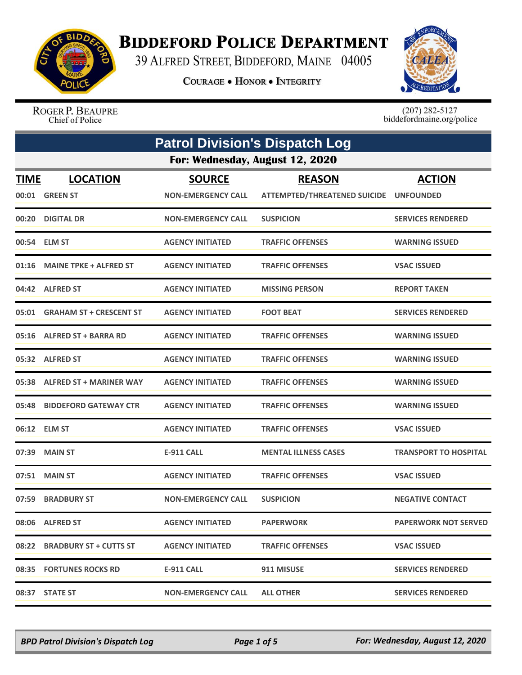

## **BIDDEFORD POLICE DEPARTMENT**

39 ALFRED STREET, BIDDEFORD, MAINE 04005

**COURAGE . HONOR . INTEGRITY** 



ROGER P. BEAUPRE Chief of Police

 $(207)$  282-5127<br>biddefordmaine.org/police

| <b>Patrol Division's Dispatch Log</b> |                                   |                                            |                                                      |                                   |
|---------------------------------------|-----------------------------------|--------------------------------------------|------------------------------------------------------|-----------------------------------|
|                                       | For: Wednesday, August 12, 2020   |                                            |                                                      |                                   |
| <b>TIME</b>                           | <b>LOCATION</b><br>00:01 GREEN ST | <b>SOURCE</b><br><b>NON-EMERGENCY CALL</b> | <b>REASON</b><br><b>ATTEMPTED/THREATENED SUICIDE</b> | <b>ACTION</b><br><b>UNFOUNDED</b> |
|                                       | 00:20 DIGITAL DR                  | <b>NON-EMERGENCY CALL</b>                  | <b>SUSPICION</b>                                     | <b>SERVICES RENDERED</b>          |
|                                       | 00:54 ELM ST                      | <b>AGENCY INITIATED</b>                    | <b>TRAFFIC OFFENSES</b>                              | <b>WARNING ISSUED</b>             |
|                                       | 01:16 MAINE TPKE + ALFRED ST      | <b>AGENCY INITIATED</b>                    | <b>TRAFFIC OFFENSES</b>                              | <b>VSAC ISSUED</b>                |
|                                       | 04:42 ALFRED ST                   | <b>AGENCY INITIATED</b>                    | <b>MISSING PERSON</b>                                | <b>REPORT TAKEN</b>               |
|                                       | 05:01 GRAHAM ST + CRESCENT ST     | <b>AGENCY INITIATED</b>                    | <b>FOOT BEAT</b>                                     | <b>SERVICES RENDERED</b>          |
|                                       | 05:16 ALFRED ST + BARRA RD        | <b>AGENCY INITIATED</b>                    | <b>TRAFFIC OFFENSES</b>                              | <b>WARNING ISSUED</b>             |
|                                       | 05:32 ALFRED ST                   | <b>AGENCY INITIATED</b>                    | <b>TRAFFIC OFFENSES</b>                              | <b>WARNING ISSUED</b>             |
|                                       | 05:38 ALFRED ST + MARINER WAY     | <b>AGENCY INITIATED</b>                    | <b>TRAFFIC OFFENSES</b>                              | <b>WARNING ISSUED</b>             |
| 05:48                                 | <b>BIDDEFORD GATEWAY CTR</b>      | <b>AGENCY INITIATED</b>                    | <b>TRAFFIC OFFENSES</b>                              | <b>WARNING ISSUED</b>             |
|                                       | 06:12 ELM ST                      | <b>AGENCY INITIATED</b>                    | <b>TRAFFIC OFFENSES</b>                              | <b>VSAC ISSUED</b>                |
| 07:39                                 | <b>MAIN ST</b>                    | <b>E-911 CALL</b>                          | <b>MENTAL ILLNESS CASES</b>                          | <b>TRANSPORT TO HOSPITAL</b>      |
|                                       | 07:51 MAIN ST                     | <b>AGENCY INITIATED</b>                    | <b>TRAFFIC OFFENSES</b>                              | <b>VSAC ISSUED</b>                |
| 07:59                                 | <b>BRADBURY ST</b>                | <b>NON-EMERGENCY CALL</b>                  | <b>SUSPICION</b>                                     | <b>NEGATIVE CONTACT</b>           |
|                                       | 08:06 ALFRED ST                   | <b>AGENCY INITIATED</b>                    | <b>PAPERWORK</b>                                     | <b>PAPERWORK NOT SERVED</b>       |
|                                       | 08:22 BRADBURY ST + CUTTS ST      | <b>AGENCY INITIATED</b>                    | <b>TRAFFIC OFFENSES</b>                              | <b>VSAC ISSUED</b>                |
|                                       | 08:35 FORTUNES ROCKS RD           | <b>E-911 CALL</b>                          | 911 MISUSE                                           | <b>SERVICES RENDERED</b>          |
|                                       | 08:37 STATE ST                    | <b>NON-EMERGENCY CALL</b>                  | <b>ALL OTHER</b>                                     | <b>SERVICES RENDERED</b>          |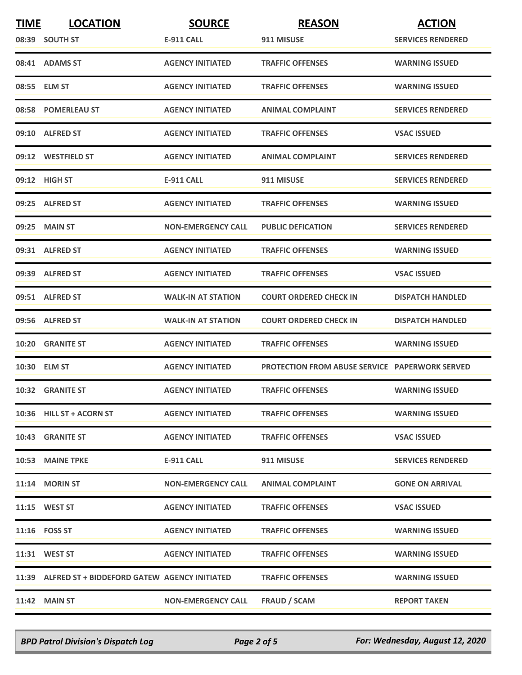| <b>TIME</b> | <b>LOCATION</b>                                    | <b>SOURCE</b>             | <b>REASON</b>                                         | <b>ACTION</b>            |
|-------------|----------------------------------------------------|---------------------------|-------------------------------------------------------|--------------------------|
|             | 08:39 SOUTH ST                                     | E-911 CALL                | 911 MISUSE                                            | <b>SERVICES RENDERED</b> |
|             | 08:41 ADAMS ST                                     | <b>AGENCY INITIATED</b>   | <b>TRAFFIC OFFENSES</b>                               | <b>WARNING ISSUED</b>    |
|             | 08:55 ELM ST                                       | <b>AGENCY INITIATED</b>   | <b>TRAFFIC OFFENSES</b>                               | <b>WARNING ISSUED</b>    |
|             | 08:58 POMERLEAU ST                                 | <b>AGENCY INITIATED</b>   | <b>ANIMAL COMPLAINT</b>                               | <b>SERVICES RENDERED</b> |
|             | 09:10 ALFRED ST                                    | <b>AGENCY INITIATED</b>   | <b>TRAFFIC OFFENSES</b>                               | <b>VSAC ISSUED</b>       |
|             | 09:12 WESTFIELD ST                                 | <b>AGENCY INITIATED</b>   | <b>ANIMAL COMPLAINT</b>                               | <b>SERVICES RENDERED</b> |
|             | 09:12 HIGH ST                                      | E-911 CALL                | 911 MISUSE                                            | <b>SERVICES RENDERED</b> |
|             | 09:25 ALFRED ST                                    | <b>AGENCY INITIATED</b>   | <b>TRAFFIC OFFENSES</b>                               | <b>WARNING ISSUED</b>    |
|             | 09:25 MAIN ST                                      | <b>NON-EMERGENCY CALL</b> | <b>PUBLIC DEFICATION</b>                              | <b>SERVICES RENDERED</b> |
|             | 09:31 ALFRED ST                                    | <b>AGENCY INITIATED</b>   | <b>TRAFFIC OFFENSES</b>                               | <b>WARNING ISSUED</b>    |
|             | 09:39 ALFRED ST                                    | <b>AGENCY INITIATED</b>   | <b>TRAFFIC OFFENSES</b>                               | <b>VSAC ISSUED</b>       |
|             | 09:51 ALFRED ST                                    | <b>WALK-IN AT STATION</b> | <b>COURT ORDERED CHECK IN</b>                         | <b>DISPATCH HANDLED</b>  |
|             | 09:56 ALFRED ST                                    | <b>WALK-IN AT STATION</b> | <b>COURT ORDERED CHECK IN</b>                         | <b>DISPATCH HANDLED</b>  |
|             | 10:20 GRANITE ST                                   | <b>AGENCY INITIATED</b>   | <b>TRAFFIC OFFENSES</b>                               | <b>WARNING ISSUED</b>    |
|             | 10:30 ELM ST                                       | <b>AGENCY INITIATED</b>   | <b>PROTECTION FROM ABUSE SERVICE PAPERWORK SERVED</b> |                          |
|             | <b>10:32 GRANITE ST</b>                            | <b>AGENCY INITIATED</b>   | <b>TRAFFIC OFFENSES</b>                               | <b>WARNING ISSUED</b>    |
|             | 10:36 HILL ST + ACORN ST                           | <b>AGENCY INITIATED</b>   | <b>TRAFFIC OFFENSES</b>                               | <b>WARNING ISSUED</b>    |
|             | 10:43 GRANITE ST                                   | <b>AGENCY INITIATED</b>   | <b>TRAFFIC OFFENSES</b>                               | <b>VSAC ISSUED</b>       |
|             | 10:53 MAINE TPKE                                   | <b>E-911 CALL</b>         | 911 MISUSE                                            | <b>SERVICES RENDERED</b> |
|             | 11:14 MORIN ST                                     | <b>NON-EMERGENCY CALL</b> | <b>ANIMAL COMPLAINT</b>                               | <b>GONE ON ARRIVAL</b>   |
|             | 11:15 WEST ST                                      | <b>AGENCY INITIATED</b>   | <b>TRAFFIC OFFENSES</b>                               | <b>VSAC ISSUED</b>       |
|             | 11:16    FOSS ST                                   | <b>AGENCY INITIATED</b>   | <b>TRAFFIC OFFENSES</b>                               | <b>WARNING ISSUED</b>    |
|             | 11:31 WEST ST                                      | <b>AGENCY INITIATED</b>   | <b>TRAFFIC OFFENSES</b>                               | <b>WARNING ISSUED</b>    |
|             | 11:39 ALFRED ST + BIDDEFORD GATEW AGENCY INITIATED |                           | <b>TRAFFIC OFFENSES</b>                               | <b>WARNING ISSUED</b>    |
|             | <b>11:42 MAIN ST</b>                               | <b>NON-EMERGENCY CALL</b> | <b>FRAUD / SCAM</b>                                   | <b>REPORT TAKEN</b>      |

*BPD Patrol Division's Dispatch Log Page 2 of 5 For: Wednesday, August 12, 2020*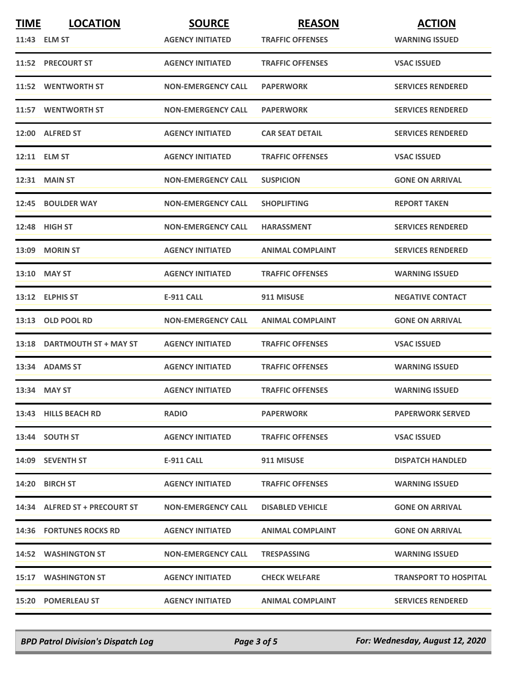| <b>TIME</b> | <b>LOCATION</b>                | <b>SOURCE</b>             | <b>REASON</b>           | <b>ACTION</b>                |
|-------------|--------------------------------|---------------------------|-------------------------|------------------------------|
|             | 11:43 ELM ST                   | <b>AGENCY INITIATED</b>   | <b>TRAFFIC OFFENSES</b> | <b>WARNING ISSUED</b>        |
|             | 11:52 PRECOURT ST              | <b>AGENCY INITIATED</b>   | <b>TRAFFIC OFFENSES</b> | <b>VSAC ISSUED</b>           |
|             | 11:52 WENTWORTH ST             | <b>NON-EMERGENCY CALL</b> | <b>PAPERWORK</b>        | <b>SERVICES RENDERED</b>     |
|             | 11:57 WENTWORTH ST             | <b>NON-EMERGENCY CALL</b> | <b>PAPERWORK</b>        | <b>SERVICES RENDERED</b>     |
|             | 12:00 ALFRED ST                | <b>AGENCY INITIATED</b>   | <b>CAR SEAT DETAIL</b>  | <b>SERVICES RENDERED</b>     |
|             | 12:11 ELM ST                   | <b>AGENCY INITIATED</b>   | <b>TRAFFIC OFFENSES</b> | <b>VSAC ISSUED</b>           |
|             | <b>12:31 MAIN ST</b>           | <b>NON-EMERGENCY CALL</b> | <b>SUSPICION</b>        | <b>GONE ON ARRIVAL</b>       |
|             | 12:45 BOULDER WAY              | <b>NON-EMERGENCY CALL</b> | <b>SHOPLIFTING</b>      | <b>REPORT TAKEN</b>          |
|             | 12:48 HIGH ST                  | <b>NON-EMERGENCY CALL</b> | <b>HARASSMENT</b>       | <b>SERVICES RENDERED</b>     |
|             | 13:09 MORIN ST                 | <b>AGENCY INITIATED</b>   | <b>ANIMAL COMPLAINT</b> | <b>SERVICES RENDERED</b>     |
|             | 13:10 MAY ST                   | <b>AGENCY INITIATED</b>   | <b>TRAFFIC OFFENSES</b> | <b>WARNING ISSUED</b>        |
|             | 13:12 ELPHIS ST                | <b>E-911 CALL</b>         | 911 MISUSE              | <b>NEGATIVE CONTACT</b>      |
|             | 13:13 OLD POOL RD              | <b>NON-EMERGENCY CALL</b> | <b>ANIMAL COMPLAINT</b> | <b>GONE ON ARRIVAL</b>       |
|             | 13:18 DARTMOUTH ST + MAY ST    | <b>AGENCY INITIATED</b>   | <b>TRAFFIC OFFENSES</b> | <b>VSAC ISSUED</b>           |
|             | 13:34 ADAMS ST                 | <b>AGENCY INITIATED</b>   | <b>TRAFFIC OFFENSES</b> | <b>WARNING ISSUED</b>        |
|             | 13:34 MAY ST                   | <b>AGENCY INITIATED</b>   | <b>TRAFFIC OFFENSES</b> | <b>WARNING ISSUED</b>        |
|             | 13:43 HILLS BEACH RD           | <b>RADIO</b>              | <b>PAPERWORK</b>        | <b>PAPERWORK SERVED</b>      |
|             | 13:44 SOUTH ST                 | <b>AGENCY INITIATED</b>   | <b>TRAFFIC OFFENSES</b> | <b>VSAC ISSUED</b>           |
|             | 14:09 SEVENTH ST               | E-911 CALL                | 911 MISUSE              | <b>DISPATCH HANDLED</b>      |
|             | 14:20 BIRCH ST                 | <b>AGENCY INITIATED</b>   | <b>TRAFFIC OFFENSES</b> | <b>WARNING ISSUED</b>        |
|             | 14:34 ALFRED ST + PRECOURT ST  | <b>NON-EMERGENCY CALL</b> | <b>DISABLED VEHICLE</b> | <b>GONE ON ARRIVAL</b>       |
|             | <b>14:36 FORTUNES ROCKS RD</b> | <b>AGENCY INITIATED</b>   | <b>ANIMAL COMPLAINT</b> | <b>GONE ON ARRIVAL</b>       |
|             | 14:52 WASHINGTON ST            | <b>NON-EMERGENCY CALL</b> | <b>TRESPASSING</b>      | <b>WARNING ISSUED</b>        |
|             | <b>15:17 WASHINGTON ST</b>     | <b>AGENCY INITIATED</b>   | <b>CHECK WELFARE</b>    | <b>TRANSPORT TO HOSPITAL</b> |
|             | <b>15:20 POMERLEAU ST</b>      | <b>AGENCY INITIATED</b>   | <b>ANIMAL COMPLAINT</b> | <b>SERVICES RENDERED</b>     |

*BPD Patrol Division's Dispatch Log Page 3 of 5 For: Wednesday, August 12, 2020*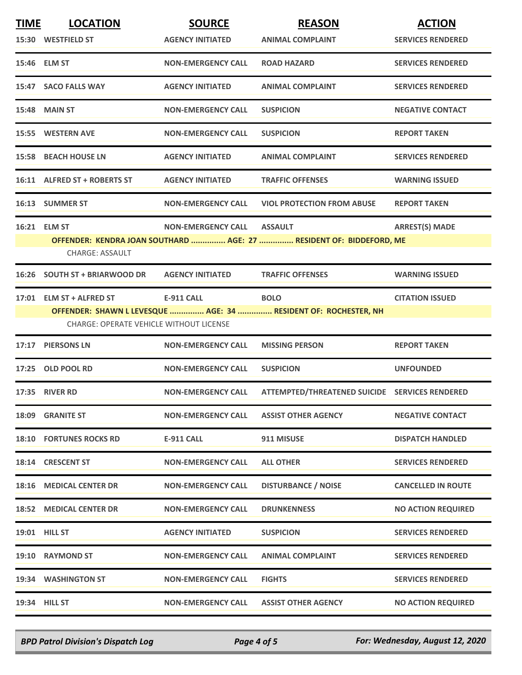| <b>TIME</b> | <b>LOCATION</b><br>15:30 WESTFIELD ST                                      | <b>SOURCE</b><br><b>AGENCY INITIATED</b> | <b>REASON</b><br><b>ANIMAL COMPLAINT</b>                                              | <b>ACTION</b><br><b>SERVICES RENDERED</b> |
|-------------|----------------------------------------------------------------------------|------------------------------------------|---------------------------------------------------------------------------------------|-------------------------------------------|
|             | 15:46 ELM ST                                                               | <b>NON-EMERGENCY CALL</b>                | <b>ROAD HAZARD</b>                                                                    | <b>SERVICES RENDERED</b>                  |
|             | 15:47 SACO FALLS WAY                                                       | <b>AGENCY INITIATED</b>                  | <b>ANIMAL COMPLAINT</b>                                                               | <b>SERVICES RENDERED</b>                  |
|             | <b>15:48 MAIN ST</b>                                                       | <b>NON-EMERGENCY CALL</b>                | <b>SUSPICION</b>                                                                      | <b>NEGATIVE CONTACT</b>                   |
|             | <b>15:55 WESTERN AVE</b>                                                   | <b>NON-EMERGENCY CALL</b>                | <b>SUSPICION</b>                                                                      | <b>REPORT TAKEN</b>                       |
|             | <b>15:58 BEACH HOUSE LN</b>                                                | <b>AGENCY INITIATED</b>                  | <b>ANIMAL COMPLAINT</b>                                                               | <b>SERVICES RENDERED</b>                  |
|             | 16:11 ALFRED ST + ROBERTS ST                                               | <b>AGENCY INITIATED</b>                  | <b>TRAFFIC OFFENSES</b>                                                               | <b>WARNING ISSUED</b>                     |
|             | 16:13 SUMMER ST                                                            | <b>NON-EMERGENCY CALL</b>                | <b>VIOL PROTECTION FROM ABUSE</b>                                                     | <b>REPORT TAKEN</b>                       |
|             | 16:21 ELM ST<br><b>CHARGE: ASSAULT</b>                                     | <b>NON-EMERGENCY CALL</b>                | <b>ASSAULT</b><br>OFFENDER: KENDRA JOAN SOUTHARD  AGE: 27  RESIDENT OF: BIDDEFORD, ME | <b>ARREST(S) MADE</b>                     |
|             | 16:26 SOUTH ST + BRIARWOOD DR                                              | <b>AGENCY INITIATED</b>                  | <b>TRAFFIC OFFENSES</b>                                                               | <b>WARNING ISSUED</b>                     |
|             | 17:01 ELM ST + ALFRED ST<br><b>CHARGE: OPERATE VEHICLE WITHOUT LICENSE</b> | <b>E-911 CALL</b>                        | <b>BOLO</b><br>OFFENDER: SHAWN L LEVESQUE  AGE: 34  RESIDENT OF: ROCHESTER, NH        | <b>CITATION ISSUED</b>                    |
| 17:17       | <b>PIERSONS LN</b>                                                         | <b>NON-EMERGENCY CALL</b>                | <b>MISSING PERSON</b>                                                                 | <b>REPORT TAKEN</b>                       |
|             | 17:25 OLD POOL RD                                                          | <b>NON-EMERGENCY CALL</b>                | <b>SUSPICION</b>                                                                      | <b>UNFOUNDED</b>                          |
|             | <b>17:35 RIVER RD</b>                                                      | <b>NON-EMERGENCY CALL</b>                | ATTEMPTED/THREATENED SUICIDE SERVICES RENDERED                                        |                                           |
|             | 18:09 GRANITE ST                                                           | <b>NON-EMERGENCY CALL</b>                | <b>ASSIST OTHER AGENCY</b>                                                            | <b>NEGATIVE CONTACT</b>                   |
|             | <b>18:10 FORTUNES ROCKS RD</b>                                             | <b>E-911 CALL</b>                        | 911 MISUSE                                                                            | <b>DISPATCH HANDLED</b>                   |
|             | 18:14 CRESCENT ST                                                          | <b>NON-EMERGENCY CALL</b>                | <b>ALL OTHER</b>                                                                      | <b>SERVICES RENDERED</b>                  |
|             | 18:16 MEDICAL CENTER DR                                                    | <b>NON-EMERGENCY CALL</b>                | <b>DISTURBANCE / NOISE</b>                                                            | <b>CANCELLED IN ROUTE</b>                 |
|             | <b>18:52 MEDICAL CENTER DR</b>                                             | <b>NON-EMERGENCY CALL</b>                | <b>DRUNKENNESS</b>                                                                    | <b>NO ACTION REQUIRED</b>                 |
|             | <b>19:01 HILL ST</b>                                                       | <b>AGENCY INITIATED</b>                  | <b>SUSPICION</b>                                                                      | <b>SERVICES RENDERED</b>                  |
|             | 19:10 RAYMOND ST                                                           | <b>NON-EMERGENCY CALL</b>                | <b>ANIMAL COMPLAINT</b>                                                               | <b>SERVICES RENDERED</b>                  |
|             | 19:34 WASHINGTON ST                                                        | <b>NON-EMERGENCY CALL</b>                | <b>FIGHTS</b>                                                                         | <b>SERVICES RENDERED</b>                  |
|             | 19:34 HILL ST                                                              | <b>NON-EMERGENCY CALL</b>                | <b>ASSIST OTHER AGENCY</b>                                                            | <b>NO ACTION REQUIRED</b>                 |

*BPD Patrol Division's Dispatch Log Page 4 of 5 For: Wednesday, August 12, 2020*